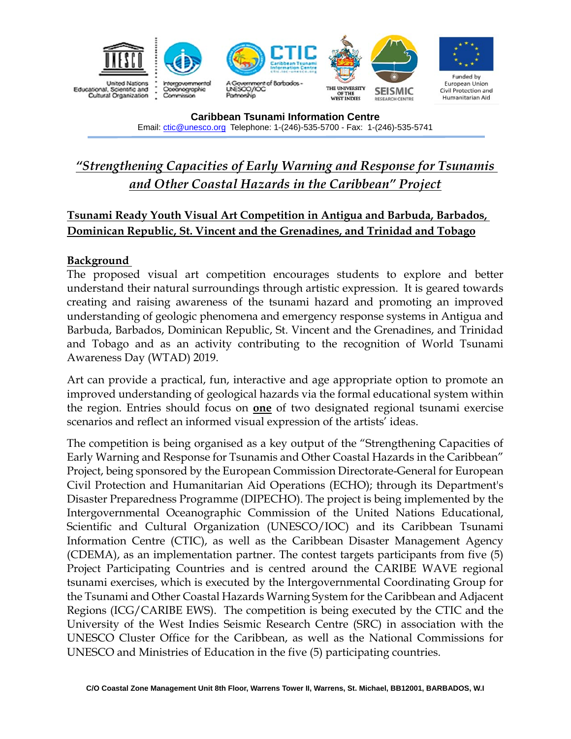

# *"Strengthening Capacities of Early Warning and Response for Tsunamis and Other Coastal Hazards in the Caribbean" Project*

# **Tsunami Ready Youth Visual Art Competition in Antigua and Barbuda, Barbados, Dominican Republic, St. Vincent and the Grenadines, and Trinidad and Tobago**

#### **Background**

The proposed visual art competition encourages students to explore and better understand their natural surroundings through artistic expression. It is geared towards creating and raising awareness of the tsunami hazard and promoting an improved understanding of geologic phenomena and emergency response systems in Antigua and Barbuda, Barbados, Dominican Republic, St. Vincent and the Grenadines, and Trinidad and Tobago and as an activity contributing to the recognition of World Tsunami Awareness Day (WTAD) 2019.

Art can provide a practical, fun, interactive and age appropriate option to promote an improved understanding of geological hazards via the formal educational system within the region. Entries should focus on **one** of two designated regional tsunami exercise scenarios and reflect an informed visual expression of the artists' ideas.

The competition is being organised as a key output of the "Strengthening Capacities of Early Warning and Response for Tsunamis and Other Coastal Hazards in the Caribbean" Project, being sponsored by the European Commission Directorate-General for European Civil Protection and Humanitarian Aid Operations (ECHO); through its Department's Disaster Preparedness Programme (DIPECHO). The project is being implemented by the Intergovernmental Oceanographic Commission of the United Nations Educational, Scientific and Cultural Organization (UNESCO/IOC) and its Caribbean Tsunami Information Centre (CTIC), as well as the Caribbean Disaster Management Agency (CDEMA), as an implementation partner. The contest targets participants from five (5) Project Participating Countries and is centred around the CARIBE WAVE regional tsunami exercises, which is executed by the Intergovernmental Coordinating Group for the Tsunami and Other Coastal Hazards Warning System for the Caribbean and Adjacent Regions (ICG/CARIBE EWS). The competition is being executed by the CTIC and the University of the West Indies Seismic Research Centre (SRC) in association with the UNESCO Cluster Office for the Caribbean, as well as the National Commissions for UNESCO and Ministries of Education in the five (5) participating countries.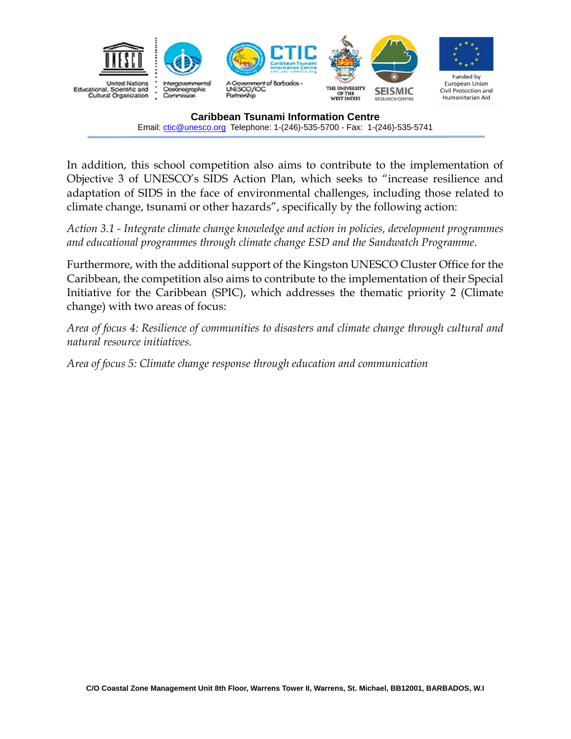

In addition, this school competition also aims to contribute to the implementation of Objective 3 of UNESCO's SIDS Action Plan, which seeks to "increase resilience and adaptation of SIDS in the face of environmental challenges, including those related to climate change, tsunami or other hazards", specifically by the following action:

*Action 3.1 - Integrate climate change knowledge and action in policies, development programmes and educational programmes through climate change ESD and the Sandwatch Programme*.

Furthermore, with the additional support of the Kingston UNESCO Cluster Office for the Caribbean, the competition also aims to contribute to the implementation of their Special Initiative for the Caribbean (SPIC), which addresses the thematic priority 2 (Climate change) with two areas of focus:

*Area of focus 4: Resilience of communities to disasters and climate change through cultural and natural resource initiatives.* 

*Area of focus 5: Climate change response through education and communication*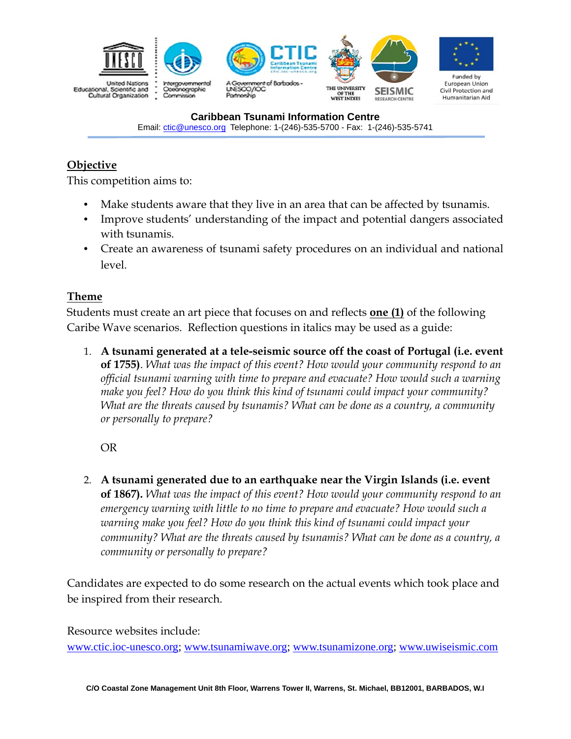

# **Objective**

This competition aims to:

- Make students aware that they live in an area that can be affected by tsunamis.
- Improve students' understanding of the impact and potential dangers associated with tsunamis.
- Create an awareness of tsunami safety procedures on an individual and national level.

#### **Theme**

Students must create an art piece that focuses on and reflects **one (1)** of the following Caribe Wave scenarios. Reflection questions in italics may be used as a guide:

1. **A tsunami generated at a tele-seismic source off the coast of Portugal (i.e. event of 1755)**. *What was the impact of this event? How would your community respond to an official tsunami warning with time to prepare and evacuate? How would such a warning make you feel? How do you think this kind of tsunami could impact your community? What are the threats caused by tsunamis? What can be done as a country, a community or personally to prepare?* 

OR

2. **A tsunami generated due to an earthquake near the Virgin Islands (i.e. event of 1867).** *What was the impact of this event? How would your community respond to an emergency warning with little to no time to prepare and evacuate? How would such a warning make you feel? How do you think this kind of tsunami could impact your community? What are the threats caused by tsunamis? What can be done as a country, a community or personally to prepare?* 

Candidates are expected to do some research on the actual events which took place and be inspired from their research.

Resource websites include:

www.ctic.ioc-unesco.org; www.tsunamiwave.org; www.tsunamizone.org; www.uwiseismic.com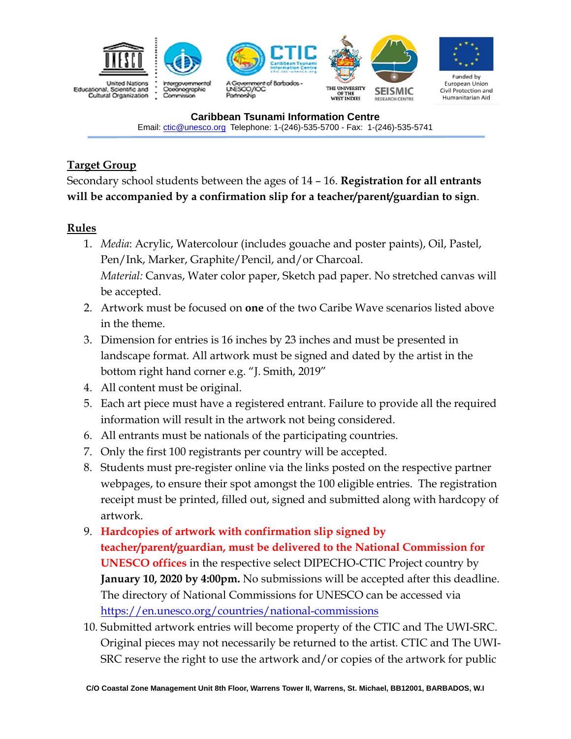

# **Target Group**

Secondary school students between the ages of 14 – 16. **Registration for all entrants will be accompanied by a confirmation slip for a teacher/parent/guardian to sign**.

#### **Rules**

- 1. *Media*: Acrylic, Watercolour (includes gouache and poster paints), Oil, Pastel, Pen/Ink, Marker, Graphite/Pencil, and/or Charcoal. *Material:* Canvas, Water color paper, Sketch pad paper. No stretched canvas will be accepted.
- 2. Artwork must be focused on **one** of the two Caribe Wave scenarios listed above in the theme.
- 3. Dimension for entries is 16 inches by 23 inches and must be presented in landscape format. All artwork must be signed and dated by the artist in the bottom right hand corner e.g. "J. Smith, 2019"
- 4. All content must be original.
- 5. Each art piece must have a registered entrant. Failure to provide all the required information will result in the artwork not being considered.
- 6. All entrants must be nationals of the participating countries.
- 7. Only the first 100 registrants per country will be accepted.
- 8. Students must pre-register online via the links posted on the respective partner webpages, to ensure their spot amongst the 100 eligible entries. The registration receipt must be printed, filled out, signed and submitted along with hardcopy of artwork.
- 9. **Hardcopies of artwork with confirmation slip signed by teacher/parent/guardian, must be delivered to the National Commission for UNESCO offices** in the respective select DIPECHO-CTIC Project country by **January 10, 2020 by 4:00pm.** No submissions will be accepted after this deadline. The directory of National Commissions for UNESCO can be accessed via https://en.unesco.org/countries/national-commissions
- 10. Submitted artwork entries will become property of the CTIC and The UWI-SRC. Original pieces may not necessarily be returned to the artist. CTIC and The UWI-SRC reserve the right to use the artwork and/or copies of the artwork for public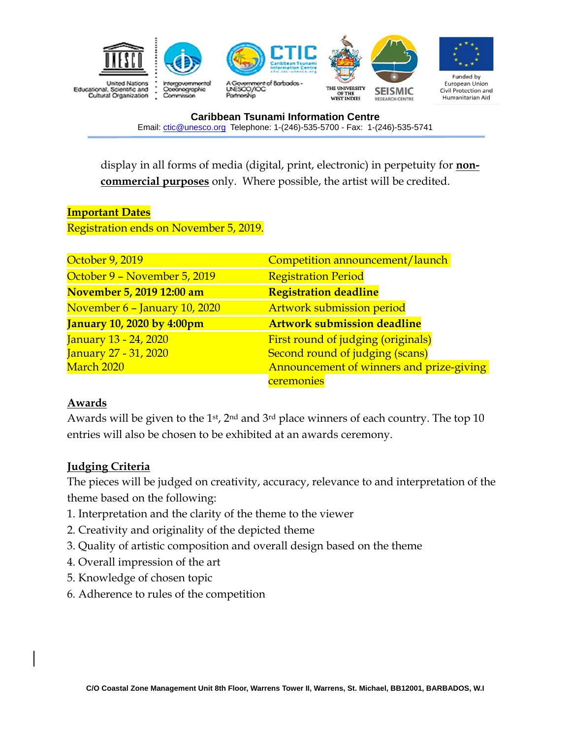

display in all forms of media (digital, print, electronic) in perpetuity for **noncommercial purposes** only. Where possible, the artist will be credited.

# **Important Dates**  Registration ends on November 5, 2019.

| October 9, 2019                   | Competition announcement/launch          |
|-----------------------------------|------------------------------------------|
| October 9 - November 5, 2019      | <b>Registration Period</b>               |
| November 5, 2019 12:00 am         | <b>Registration deadline</b>             |
| November 6 - January 10, 2020     | <b>Artwork submission period</b>         |
| <b>January 10, 2020 by 4:00pm</b> | <b>Artwork submission deadline</b>       |
| January 13 - 24, 2020             | First round of judging (originals)       |
| January 27 - 31, 2020             | Second round of judging (scans)          |
| March 2020                        | Announcement of winners and prize-giving |
|                                   | ceremonies                               |

#### **Awards**

Awards will be given to the 1<sup>st</sup>,  $2<sup>nd</sup>$  and  $3<sup>rd</sup>$  place winners of each country. The top 10 entries will also be chosen to be exhibited at an awards ceremony.

### **Judging Criteria**

The pieces will be judged on creativity, accuracy, relevance to and interpretation of the theme based on the following:

- 1. Interpretation and the clarity of the theme to the viewer
- 2. Creativity and originality of the depicted theme
- 3. Quality of artistic composition and overall design based on the theme
- 4. Overall impression of the art
- 5. Knowledge of chosen topic
- 6. Adherence to rules of the competition